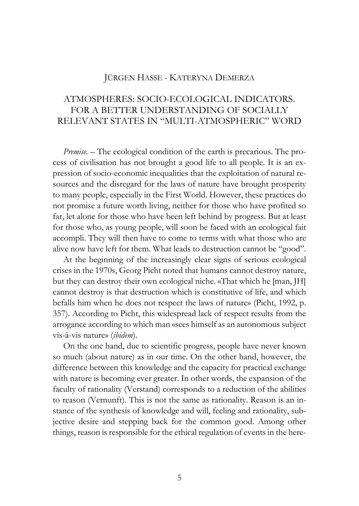## JÜRGEN HASSE - KATERYNA DEMERZA

## ATMOSPHERES: SOCIO-ECOLOGICAL INDICATORS. FOR A BETTER UNDERSTANDING OF SOCIALLY RELEVANT STATES IN "MULTI-ATMOSPHERIC" WORD

*Premise. –* The ecological condition of the earth is precarious. The process of civilisation has not brought a good life to all people. It is an expression of socio-economic inequalities that the exploitation of natural resources and the disregard for the laws of nature have brought prosperity to many people, especially in the First World. However, these practices do not promise a future worth living, neither for those who have profited so far, let alone for those who have been left behind by progress. But at least for those who, as young people, will soon be faced with an ecological fait accompli. They will then have to come to terms with what those who are alive now have left for them. What leads to destruction cannot be "good".

At the beginning of the increasingly clear signs of serious ecological crises in the 1970s, Georg Picht noted that humans cannot destroy nature, but they can destroy their own ecological niche. «That which he [man, JH] cannot destroy is that destruction which is constitutive of life, and which befalls him when he does not respect the laws of nature» (Picht, 1992, p. 357). According to Picht, this widespread lack of respect results from the arrogance according to which man «sees himself as an autonomous subject vis-à-vis nature» (*ibidem*).

On the one hand, due to scientific progress, people have never known so much (about nature) as in our time. On the other hand, however, the difference between this knowledge and the capacity for practical exchange with nature is becoming ever greater. In other words, the expansion of the faculty of rationality (Verstand) corresponds to a reduction of the abilities to reason (Vernunft). This is not the same as rationality. Reason is an instance of the synthesis of knowledge and will, feeling and rationality, subjective desire and stepping back for the common good. Among other things, reason is responsible for the ethical regulation of events in the here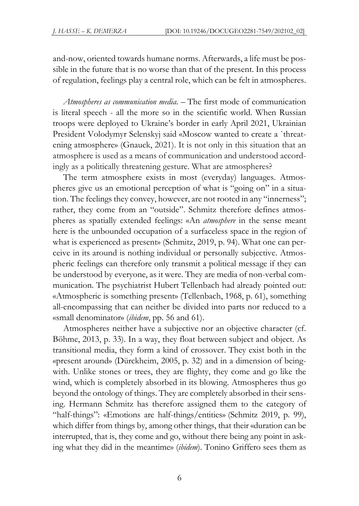and-now, oriented towards humane norms. Afterwards, a life must be possible in the future that is no worse than that of the present. In this process of regulation, feelings play a central role, which can be felt in atmospheres.

*Atmospheres as communication media. –* The first mode of communication is literal speech - all the more so in the scientific world. When Russian troops were deployed to Ukraine's border in early April 2021, Ukrainian President Volodymyr Selenskyj said «Moscow wanted to create a `threatening atmosphere» (Gnauck, 2021). It is not only in this situation that an atmosphere is used as a means of communication and understood accordingly as a politically threatening gesture. What are atmospheres?

The term atmosphere exists in most (everyday) languages. Atmospheres give us an emotional perception of what is "going on" in a situation. The feelings they convey, however, are not rooted in any "innerness"; rather, they come from an "outside". Schmitz therefore defines atmospheres as spatially extended feelings: «An *atmosphere* in the sense meant here is the unbounded occupation of a surfaceless space in the region of what is experienced as present» (Schmitz, 2019, p. 94). What one can perceive in its around is nothing individual or personally subjective. Atmospheric feelings can therefore only transmit a political message if they can be understood by everyone, as it were. They are media of non-verbal communication. The psychiatrist Hubert Tellenbach had already pointed out: «Atmospheric is something present» (Tellenbach, 1968, p. 61), something all-encompassing that can neither be divided into parts nor reduced to a «small denominator» (*ibidem*, pp. 56 and 61).

Atmospheres neither have a subjective nor an objective character (cf. Böhme, 2013, p. 33). In a way, they float between subject and object. As transitional media, they form a kind of crossover. They exist both in the «present around» (Dürckheim, 2005, p. 32) and in a dimension of beingwith. Unlike stones or trees, they are flighty, they come and go like the wind, which is completely absorbed in its blowing. Atmospheres thus go beyond the ontology of things. They are completely absorbed in their sensing. Hermann Schmitz has therefore assigned them to the category of "half-things": «Emotions are half-things/entities» (Schmitz 2019, p. 99), which differ from things by, among other things, that their «duration can be interrupted, that is, they come and go, without there being any point in asking what they did in the meantime» (*ibidem*). Tonino Griffero sees them as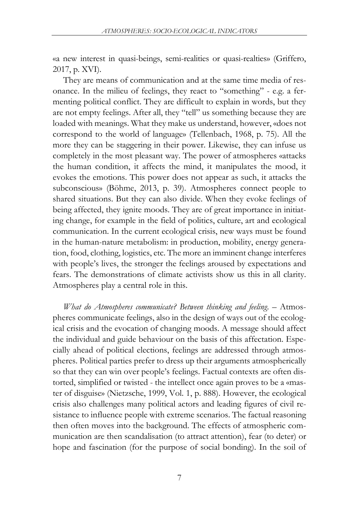«a new interest in quasi-beings, semi-realities or quasi-realties» (Griffero, 2017, p. XVI).

They are means of communication and at the same time media of resonance. In the milieu of feelings, they react to "something" - e.g. a fermenting political conflict. They are difficult to explain in words, but they are not empty feelings. After all, they "tell" us something because they are loaded with meanings. What they make us understand, however, «does not correspond to the world of language» (Tellenbach, 1968, p. 75). All the more they can be staggering in their power. Likewise, they can infuse us completely in the most pleasant way. The power of atmospheres «attacks the human condition, it affects the mind, it manipulates the mood, it evokes the emotions. This power does not appear as such, it attacks the subconscious» (Böhme, 2013, p. 39). Atmospheres connect people to shared situations. But they can also divide. When they evoke feelings of being affected, they ignite moods. They are of great importance in initiating change, for example in the field of politics, culture, art and ecological communication. In the current ecological crisis, new ways must be found in the human-nature metabolism: in production, mobility, energy generation, food, clothing, logistics, etc. The more an imminent change interferes with people's lives, the stronger the feelings aroused by expectations and fears. The demonstrations of climate activists show us this in all clarity. Atmospheres play a central role in this.

*What do Atmospheres communicate? Between thinking and feeling*. – Atmospheres communicate feelings, also in the design of ways out of the ecological crisis and the evocation of changing moods. A message should affect the individual and guide behaviour on the basis of this affectation. Especially ahead of political elections, feelings are addressed through atmospheres. Political parties prefer to dress up their arguments atmospherically so that they can win over people's feelings. Factual contexts are often distorted, simplified or twisted - the intellect once again proves to be a «master of disguise» (Nietzsche, 1999, Vol. 1, p. 888). However, the ecological crisis also challenges many political actors and leading figures of civil resistance to influence people with extreme scenarios. The factual reasoning then often moves into the background. The effects of atmospheric communication are then scandalisation (to attract attention), fear (to deter) or hope and fascination (for the purpose of social bonding). In the soil of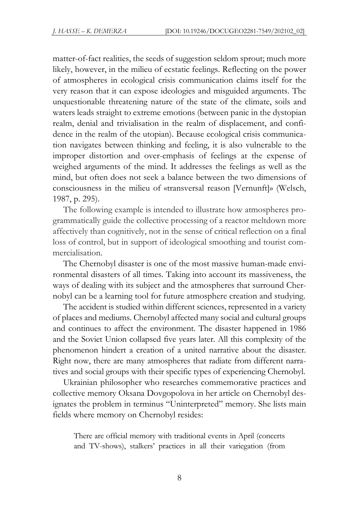matter-of-fact realities, the seeds of suggestion seldom sprout; much more likely, however, in the milieu of ecstatic feelings. Reflecting on the power of atmospheres in ecological crisis communication claims itself for the very reason that it can expose ideologies and misguided arguments. The unquestionable threatening nature of the state of the climate, soils and waters leads straight to extreme emotions (between panic in the dystopian realm, denial and trivialisation in the realm of displacement, and confidence in the realm of the utopian). Because ecological crisis communication navigates between thinking and feeling, it is also vulnerable to the improper distortion and over-emphasis of feelings at the expense of weighed arguments of the mind. It addresses the feelings as well as the mind, but often does not seek a balance between the two dimensions of consciousness in the milieu of «transversal reason [Vernunft]» (Welsch, 1987, p. 295).

The following example is intended to illustrate how atmospheres programmatically guide the collective processing of a reactor meltdown more affectively than cognitively, not in the sense of critical reflection on a final loss of control, but in support of ideological smoothing and tourist commercialisation.

The Chernobyl disaster is one of the most massive human-made environmental disasters of all times. Taking into account its massiveness, the ways of dealing with its subject and the atmospheres that surround Chernobyl can be a learning tool for future atmosphere creation and studying.

The accident is studied within different sciences, represented in a variety of places and mediums. Chernobyl affected many social and cultural groups and continues to affect the environment. The disaster happened in 1986 and the Soviet Union collapsed five years later. All this complexity of the phenomenon hindert a creation of a united narrative about the disaster. Right now, there are many atmospheres that radiate from different narratives and social groups with their specific types of experiencing Chernobyl.

Ukrainian philosopher who researches commemorative practices and collective memory Oksana Dovgopolova in her article on Chernobyl designates the problem in terminus "Uninterpreted" memory. She lists main fields where memory on Chernobyl resides:

There are official memory with traditional events in April (concerts and TV-shows), stalkers' practices in all their variegation (from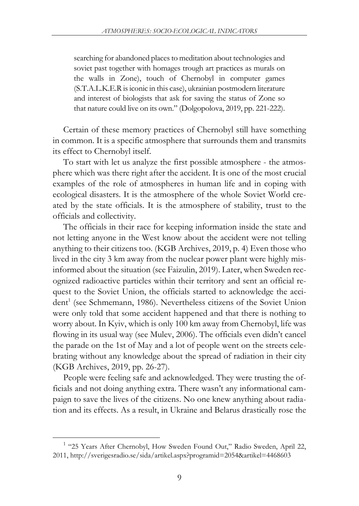searching for abandoned places to meditation about technologies and soviet past together with homages trough art practices as murals on the walls in Zone), touch of Chernobyl in computer games (S.T.A.L.K.E.R isiconic in this case), ukrainian postmodern literature and interest of biologists that ask for saving the status of Zone so that nature could live on its own." (Dolgopolova, 2019, pp. 221-222).

Certain of these memory practices of Chernobyl still have something in common. It is a specific atmosphere that surrounds them and transmits its effect to Chernobyl itself.

To start with let us analyze the first possible atmosphere - the atmosphere which was there right after the accident. It is one of the most crucial examples of the role of atmospheres in human life and in coping with ecological disasters. It is the atmosphere of the whole Soviet World created by the state officials. It is the atmosphere of stability, trust to the officials and collectivity.

The officials in their race for keeping information inside the state and not letting anyone in the West know about the accident were not telling anything to their citizens too. (KGB Archives, 2019, p. 4) Even those who lived in the city 3 km away from the nuclear power plant were highly misinformed about the situation (see Faizulin, 2019). Later, when Sweden recognized radioactive particles within their territory and sent an official request to the Soviet Union, the officials started to acknowledge the accident<sup>1</sup> (see Schmemann, 1986). Nevertheless citizens of the Soviet Union were only told that some accident happened and that there is nothing to worry about. In Kyiv, which is only 100 km away from Chernobyl, life was flowing in its usual way (see Mulev, 2006). The officials even didn't cancel the parade on the 1st of May and a lot of people went on the streets celebrating without any knowledge about the spread of radiation in their city (KGB Archives, 2019, pp. 26-27).

People were feeling safe and acknowledged. They were trusting the officials and not doing anything extra. There wasn't any informational campaign to save the lives of the citizens. No one knew anything about radiation and its effects. As a result, in Ukraine and Belarus drastically rose the

<sup>&</sup>lt;sup>1</sup> "25 Years After Chernobyl, How Sweden Found Out," Radio Sweden, April 22, 2011, [h](http://sverigesradio.se/sida/artikel.aspx?programid=2054&artikel=4468603)ttp://sverigesradio.se/sida/artikel.aspx?programid=2054&artikel=4468603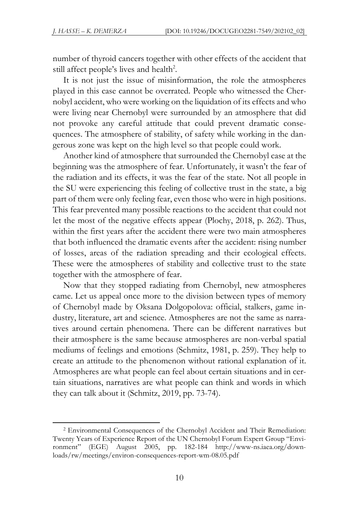number of thyroid cancers together with other effects of the accident that still affect people's lives and health<sup>2</sup>.

It is not just the issue of misinformation, the role the atmospheres played in this case cannot be overrated. People who witnessed the Chernobyl accident, who were working on the liquidation of its effects and who were living near Chernobyl were surrounded by an atmosphere that did not provoke any careful attitude that could prevent dramatic consequences. The atmosphere of stability, of safety while working in the dangerous zone was kept on the high level so that people could work.

Another kind of atmosphere that surrounded the Chernobyl case at the beginning was the atmosphere of fear. Unfortunately, it wasn't the fear of the radiation and its effects, it was the fear of the state. Not all people in the SU were experiencing this feeling of collective trust in the state, a big part of them were only feeling fear, even those who were in high positions. This fear prevented many possible reactions to the accident that could not let the most of the negative effects appear (Plochy, 2018, p. 262). Thus, within the first years after the accident there were two main atmospheres that both influenced the dramatic events after the accident: rising number of losses, areas of the radiation spreading and their ecological effects. These were the atmospheres of stability and collective trust to the state together with the atmosphere of fear.

Now that they stopped radiating from Chernobyl, new atmospheres came. Let us appeal once more to the division between types of memory of Chernobyl made by Oksana Dolgopolova: official, stalkers, game industry, literature, art and science. Atmospheres are not the same as narratives around certain phenomena. There can be different narratives but their atmosphere is the same because atmospheres are non-verbal spatial mediums of feelings and emotions (Schmitz, 1981, p. 259). They help to create an attitude to the phenomenon without rational explanation of it. Atmospheres are what people can feel about certain situations and in certain situations, narratives are what people can think and words in which they can talk about it (Schmitz, 2019, pp. 73-74).

<sup>2</sup> Environmental Consequences of the Chernobyl Accident and Their Remediation: Twenty Years of Experience Report of the UN Chernobyl Forum Expert Group "Environment" (EGE) August 2005, pp. 182-184 http://www-ns.iaea.org/downloads/rw/meetings/environ-consequences-report-wm-08.05.pdf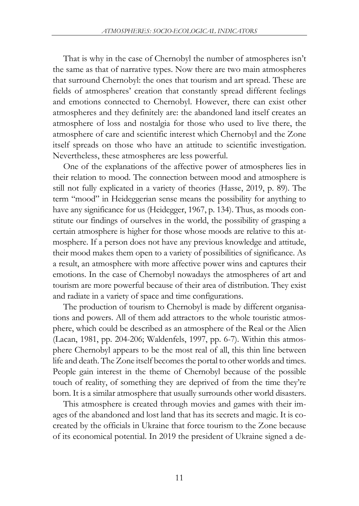That is why in the case of Chernobyl the number of atmospheres isn't the same as that of narrative types. Now there are two main atmospheres that surround Chernobyl: the ones that tourism and art spread. These are fields of atmospheres' creation that constantly spread different feelings and emotions connected to Chernobyl. However, there can exist other atmospheres and they definitely are: the abandoned land itself creates an atmosphere of loss and nostalgia for those who used to live there, the atmosphere of care and scientific interest which Chernobyl and the Zone itself spreads on those who have an attitude to scientific investigation. Nevertheless, these atmospheres are less powerful.

One of the explanations of the affective power of atmospheres lies in their relation to mood. The connection between mood and atmosphere is still not fully explicated in a variety of theories (Hasse, 2019, p. 89). The term "mood" in Heideggerian sense means the possibility for anything to have any significance for us (Heidegger, 1967, p. 134). Thus, as moods constitute our findings of ourselves in the world, the possibility of grasping a certain atmosphere is higher for those whose moods are relative to this atmosphere. If a person does not have any previous knowledge and attitude, their mood makes them open to a variety of possibilities of significance. As a result, an atmosphere with more affective power wins and captures their emotions. In the case of Chernobyl nowadays the atmospheres of art and tourism are more powerful because of their area of distribution. They exist and radiate in a variety of space and time configurations.

The production of tourism to Chernobyl is made by different organisations and powers. All of them add attractors to the whole touristic atmosphere, which could be described as an atmosphere of the Real or the Alien (Lacan, 1981, pp. 204-206; Waldenfels, 1997, pp. 6-7). Within this atmosphere Chernobyl appears to be the most real of all, this thin line between life and death. The Zone itself becomes the portal to other worlds and times. People gain interest in the theme of Chernobyl because of the possible touch of reality, of something they are deprived of from the time they're born. It is a similar atmosphere that usually surrounds other world disasters.

This atmosphere is created through movies and games with their images of the abandoned and lost land that has its secrets and magic. It is cocreated by the officials in Ukraine that force tourism to the Zone because of its economical potential. In 2019 the president of Ukraine signed a de-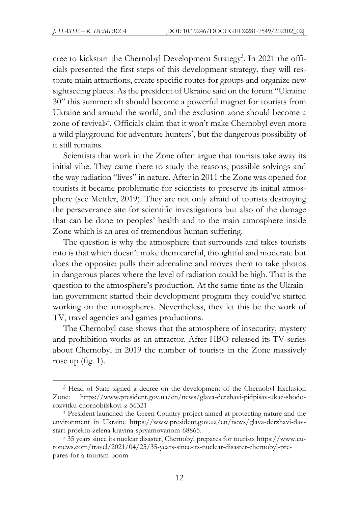cree to kickstart the Chernobyl Development Strategy<sup>3</sup>. In 2021 the officials presented the first steps of this development strategy, they will restorate main attractions, create specific routes for groups and organize new sightseeing places. As the president of Ukraine said on the forum "Ukraine 30" this summer: «It should become a powerful magnet for tourists from Ukraine and around the world, and the exclusion zone should become a zone of revival» 4 . Officials claim that it won't make Chernobyl even more a wild playground for adventure hunters<sup>5</sup>, but the dangerous possibility of it still remains.

Scientists that work in the Zone often argue that tourists take away its initial vibe. They came there to study the reasons, possible solvings and the way radiation "lives" in nature. After in 2011 the Zone was opened for tourists it became problematic for scientists to preserve its initial atmosphere (see Mettler, 2019). They are not only afraid of tourists destroying the perseverance site for scientific investigations but also of the damage that can be done to peoples' health and to the main atmosphere inside Zone which is an area of tremendous human suffering.

The question is why the atmosphere that surrounds and takes tourists into is that which doesn't make them careful, thoughtful and moderate but does the opposite: pulls their adrenaline and moves them to take photos in dangerous places where the level of radiation could be high. That is the question to the atmosphere's production. At the same time as the Ukrainian government started their development program they could've started working on the atmospheres. Nevertheless, they let this be the work of TV, travel agencies and games productions.

The Chernobyl case shows that the atmosphere of insecurity, mystery and prohibition works as an attractor. After HBO released its TV-series about Chernobyl in 2019 the number of tourists in the Zone massively rose up (fig. 1).

<sup>3</sup> Head of State signed a decree on the development of the Chernobyl Exclusion Zone: https://www.president.gov.ua/en/news/glava-derzhavi-pidpisav-ukaz-shodorozvitku-chornobilskoyi-z-56321

<sup>4</sup> President launched the Green Country project aimed at protecting nature and the environment in Ukraine https://www.president.gov.ua/en/news/glava-derzhavi-davstart-proektu-zelena-krayina-spryamovanom-68865.

<sup>&</sup>lt;sup>5</sup> 35 years since its nuclear disaster, Chernobyl prepares for tourists https://www.euronews.com/travel/2021/04/25/35-years-since-its-nuclear-disaster-chernobyl-prepares-for-a-tourism-boom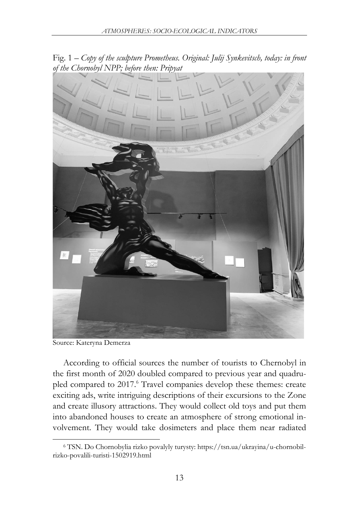

Fig. 1 – *Copy of the sculpture Prometheus. Original: Julij Synkevitsch, today: in front of the Chornobyl NPP; before then: Pripyat*

Source: Kateryna Demerza

According to official sources the number of tourists to Chernobyl in the first month of 2020 doubled compared to previous year and quadrupled compared to 2017.<sup>6</sup> Travel companies develop these themes: create exciting ads, write intriguing descriptions of their excursions to the Zone and create illusory attractions. They would collect old toys and put them into abandoned houses to create an atmosphere of strong emotional involvement. They would take dosimeters and place them near radiated

<sup>6</sup> TSN. Do Chornobylia rizko povalyly turysty: https://tsn.ua/ukrayina/u-chornobilrizko-povalili-turisti-1502919.html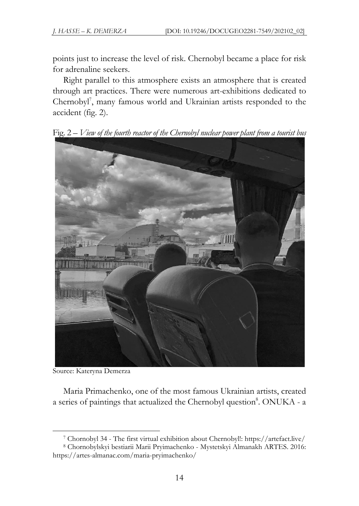points just to increase the level of risk. Chernobyl became a place for risk for adrenaline seekers.

Right parallel to this atmosphere exists an atmosphere that is created through art practices. There were numerous art-exhibitions dedicated to Chernobyl<sup>7</sup> , many famous world and Ukrainian artists responded to the accident (fig. 2).

Fig. 2 – *View of the fourth reactor of the Chernobyl nuclear power plant from a tourist bus*



Source: Kateryna Demerza

Maria Primachenko, one of the most famous Ukrainian artists, created a series of paintings that actualized the Chernobyl question8. ONUKA - a

<sup>7</sup> Chornobyl 34 - The first virtual exhibition about Chernobyl!: https://artefact.live/

<sup>8</sup> Chornobylskyi bestiarii Marii Pryimachenko - Mystetskyi Almanakh ARTES. 2016: https://artes-almanac.com/maria-pryimachenko/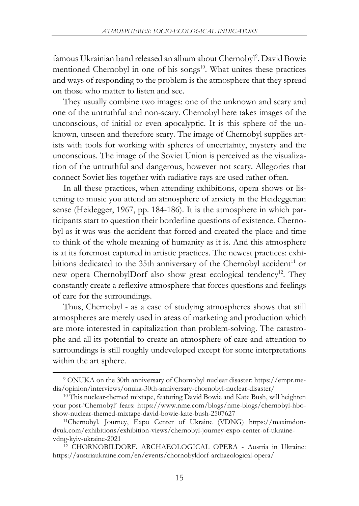famous Ukrainian band released an album about Chernobyl<sup>9</sup>. David Bowie mentioned Chernobyl in one of his songs<sup>10</sup>. What unites these practices and ways of responding to the problem is the atmosphere that they spread on those who matter to listen and see.

They usually combine two images: one of the unknown and scary and one of the untruthful and non-scary. Chernobyl here takes images of the unconscious, of initial or even apocalyptic. It is this sphere of the unknown, unseen and therefore scary. The image of Chernobyl supplies artists with tools for working with spheres of uncertainty, mystery and the unconscious. The image of the Soviet Union is perceived as the visualization of the untruthful and dangerous, however not scary. Allegories that connect Soviet lies together with radiative rays are used rather often.

In all these practices, when attending exhibitions, opera shows or listening to music you attend an atmosphere of anxiety in the Heideggerian sense (Heidegger, 1967, pp. 184-186). It is the atmosphere in which participants start to question their borderline questions of existence. Chernobyl as it was was the accident that forced and created the place and time to think of the whole meaning of humanity as it is. And this atmosphere is at its foremost captured in artistic practices. The newest practices: exhibitions dedicated to the 35th anniversary of the Chernobyl accident $11$  or new opera ChernobylDorf also show great ecological tendency<sup>12</sup>. They constantly create a reflexive atmosphere that forces questions and feelings of care for the surroundings.

Thus, Chernobyl - as a case of studying atmospheres shows that still atmospheres are merely used in areas of marketing and production which are more interested in capitalization than problem-solving. The catastrophe and all its potential to create an atmosphere of care and attention to surroundings is still roughly undeveloped except for some interpretations within the art sphere.

<sup>9</sup> ONUKA on the 30th anniversary of Chornobyl nuclear disaster: https://empr.media/opinion/interviews/onuka-30th-anniversary-chornobyl-nuclear-disaster/

<sup>&</sup>lt;sup>10</sup> This nuclear-themed mixtape, featuring David Bowie and Kate Bush, will heighten your post-'Chernobyl' fears: https://www.nme.com/blogs/nme-blogs/chernobyl-hboshow-nuclear-themed-mixtape-david-bowie-kate-bush-2507627

<sup>11</sup>Chernobyl. Journey, Expo Center of Ukraine (VDNG) https://maximdondyuk.com/exhibitions/exhibition-views/chernobyl-journey-expo-center-of-ukrainevdng-kyiv-ukraine-2021

<sup>12</sup> CHORNOBILDORF. ARCHAEOLOGICAL OPERA - Austria in Ukraine: https://austriaukraine.com/en/events/chornobyldorf-archaeological-opera/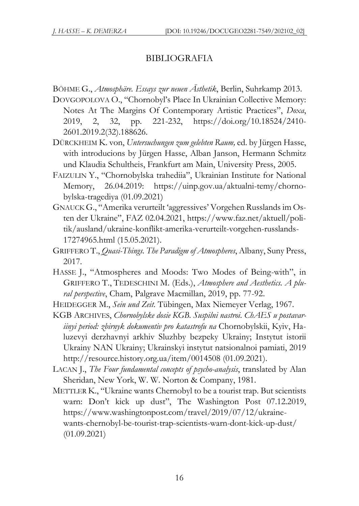## BIBLIOGRAFIA

- BÖHME G., *Atmosphäre. Essays zur neuen Ästhetik*, Berlin, Suhrkamp 2013.
- DOVGOPOLOVA O., "Chornobyl's Place In Ukrainian Collective Memory: Notes At The Margins Of Contemporary Artistic Practices", *Doxa*, 2019, 2, 32, pp. 221-232, https://doi.org/10.18524/2410- 2601.2019.2(32).188626.
- DÜRCKHEIM K. von, *Untersuchungen zum gelebten Raum,* ed. by Jürgen Hasse, with introducions by Jürgen Hasse, Alban Janson, Hermann Schmitz und Klaudia Schultheis, Frankfurt am Main, University Press, 2005.
- FAIZULIN Y., "Chornobylska trahediia", Ukrainian Institute for National Memory, 26.04.2019: https://uinp.gov.ua/aktualni-temy/chornobylska-tragediya (01.09.2021)
- GNAUCKG., "Amerika verurteilt 'aggressives' Vorgehen Russlands im Osten der Ukraine", FAZ 02.04.2021, https://www.faz.net/aktuell/politik/ausland/ukraine-konflikt-amerika-verurteilt-vorgehen-russlands-17274965.html (15.05.2021).
- GRIFFERO T., *Quasi-Things. The Paradigm of Atmospheres*, Albany, Suny Press, 2017.
- HASSE J., "Atmospheres and Moods: Two Modes of Being-with", in GRIFFERO T., TEDESCHINI M. (Eds.), *Atmosphere and Aesthetics. A plural perspective*, Cham, Palgrave Macmillan, 2019, pp. 77-92.
- HEIDEGGER M., *Sein und Zeit*. Tübingen, Max Niemeyer Verlag, 1967.
- KGB ARCHIVES, *Chornobylske dosie KGB. Suspilni nastroi*. *ChAES u postavariinyi period: zbirnyk dokumentiv pro katastrofu na* Chornobylskii, Kyiv, Haluzevyi derzhavnyi arkhiv Sluzhby bezpeky Ukrainy; Instytut istorii Ukrainy NAN Ukrainy; Ukrainskyi instytut natsionalnoi pamiati, 2019 http://resource.history.org.ua/item/0014508 (01.09.2021).
- LACAN J., *The Four fundamental concepts of psycho-analysis*, translated by Alan Sheridan, New York, W. W. Norton & Company, 1981.
- METTLER K., "Ukraine wants Chernobyl to be a tourist trap. But scientists warn: Don't kick up dust", The Washington Post 07.12.2019, https://www.washingtonpost.com/travel/2019/07/12/ukrainewants-chernobyl-be-tourist-trap-scientists-warn-dont-kick-up-dust/ (01.09.2021)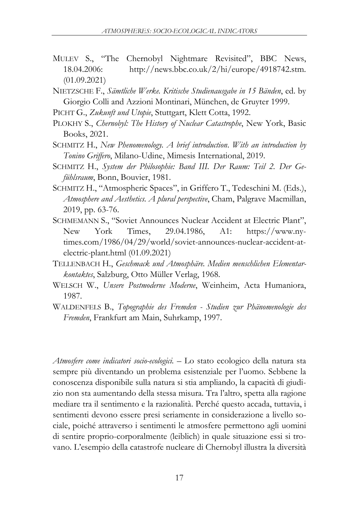- MULEV S., "The Chernobyl Nightmare Revisited", BBC News, 18.04.2006: http://news.bbc.co.uk/2/hi/europe/4918742.stm. (01.09.2021)
- NIETZSCHE F., *Sämtliche Werke. Kritische Studienausgabe in 15 Bänden*, ed. by Giorgio Colli and Azzioni Montinari, München, de Gruyter 1999.
- PICHT G., *Zukunft und Utopie*, Stuttgart, Klett Cotta, 1992.
- PLOKHY S., *Chernobyl: The History of Nuclear Catastrophe*, New York, Basic Books, 2021.
- SCHMITZ H., *New Phenomenology. A brief introduction*. *With an introduction by Tonino Griffero*, Milano-Udine, Mimesis International, 2019.
- SCHMITZ H., *System der Philosophie: Band III*. *Der Raum: Teil 2. Der Gefühlsraum*, Bonn, Bouvier, 1981.
- SCHMITZ H., "Atmospheric Spaces", in Griffero T., Tedeschini M. (Eds.), *Atmosphere and Aesthetics. A plural perspective*, Cham, Palgrave Macmillan, 2019, pp. 63-76.
- SCHMEMANN S., "Soviet Announces Nuclear Accident at Electric Plant", New York Times, 29.04.1986, A1: https://www.nytimes.com/1986/04/29/world/soviet-announces-nuclear-accident-atelectric-plant.html (01.09.2021)
- TELLENBACH H., *Geschmack und Atmosphäre. Medien menschlichen Elementarkontaktes*, Salzburg, Otto Müller Verlag, 1968.
- WELSCH W., *Unsere Postmoderne Moderne*, Weinheim, Acta Humaniora, 1987.
- WALDENFELS B., *Topographie des Fremden - Studien zur Phänomenologie des Fremden*, Frankfurt am Main, Suhrkamp, 1997.

*Atmosfere come indicatori socio-ecologici.* – Lo stato ecologico della natura sta sempre più diventando un problema esistenziale per l'uomo. Sebbene la conoscenza disponibile sulla natura si stia ampliando, la capacità di giudizio non sta aumentando della stessa misura. Tra l'altro, spetta alla ragione mediare tra il sentimento e la razionalità. Perché questo accada, tuttavia, i sentimenti devono essere presi seriamente in considerazione a livello sociale, poiché attraverso i sentimenti le atmosfere permettono agli uomini di sentire proprio-corporalmente (leiblich) in quale situazione essi si trovano. L'esempio della catastrofe nucleare di Chernobyl illustra la diversità